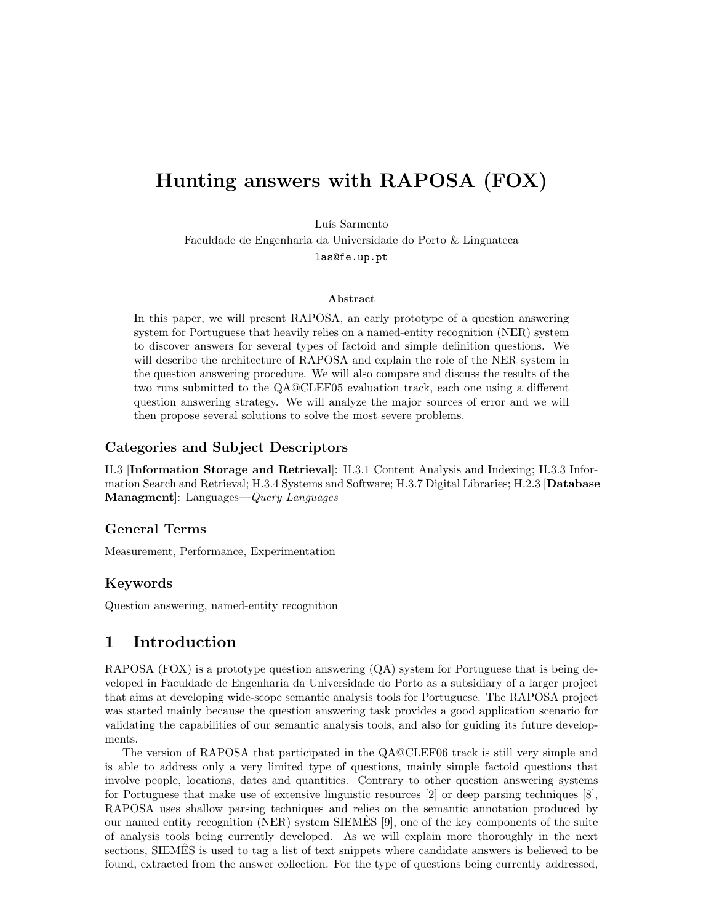# Hunting answers with RAPOSA (FOX)

Luís Sarmento

Faculdade de Engenharia da Universidade do Porto & Linguateca las@fe.up.pt

#### Abstract

In this paper, we will present RAPOSA, an early prototype of a question answering system for Portuguese that heavily relies on a named-entity recognition (NER) system to discover answers for several types of factoid and simple definition questions. We will describe the architecture of RAPOSA and explain the role of the NER system in the question answering procedure. We will also compare and discuss the results of the two runs submitted to the QA@CLEF05 evaluation track, each one using a different question answering strategy. We will analyze the major sources of error and we will then propose several solutions to solve the most severe problems.

#### Categories and Subject Descriptors

H.3 [Information Storage and Retrieval]: H.3.1 Content Analysis and Indexing; H.3.3 Information Search and Retrieval; H.3.4 Systems and Software; H.3.7 Digital Libraries; H.2.3 [Database Managment]: Languages—Query Languages

#### General Terms

Measurement, Performance, Experimentation

#### Keywords

Question answering, named-entity recognition

### 1 Introduction

RAPOSA (FOX) is a prototype question answering  $(QA)$  system for Portuguese that is being developed in Faculdade de Engenharia da Universidade do Porto as a subsidiary of a larger project that aims at developing wide-scope semantic analysis tools for Portuguese. The RAPOSA project was started mainly because the question answering task provides a good application scenario for validating the capabilities of our semantic analysis tools, and also for guiding its future developments.

The version of RAPOSA that participated in the QA@CLEF06 track is still very simple and is able to address only a very limited type of questions, mainly simple factoid questions that involve people, locations, dates and quantities. Contrary to other question answering systems for Portuguese that make use of extensive linguistic resources [2] or deep parsing techniques [8], RAPOSA uses shallow parsing techniques and relies on the semantic annotation produced by our named entity recognition (NER) system SIEMES  $[9]$ , one of the key components of the suite of analysis tools being currently developed. As we will explain more thoroughly in the next sections, SIEMES is used to tag a list of text snippets where candidate answers is believed to be found, extracted from the answer collection. For the type of questions being currently addressed,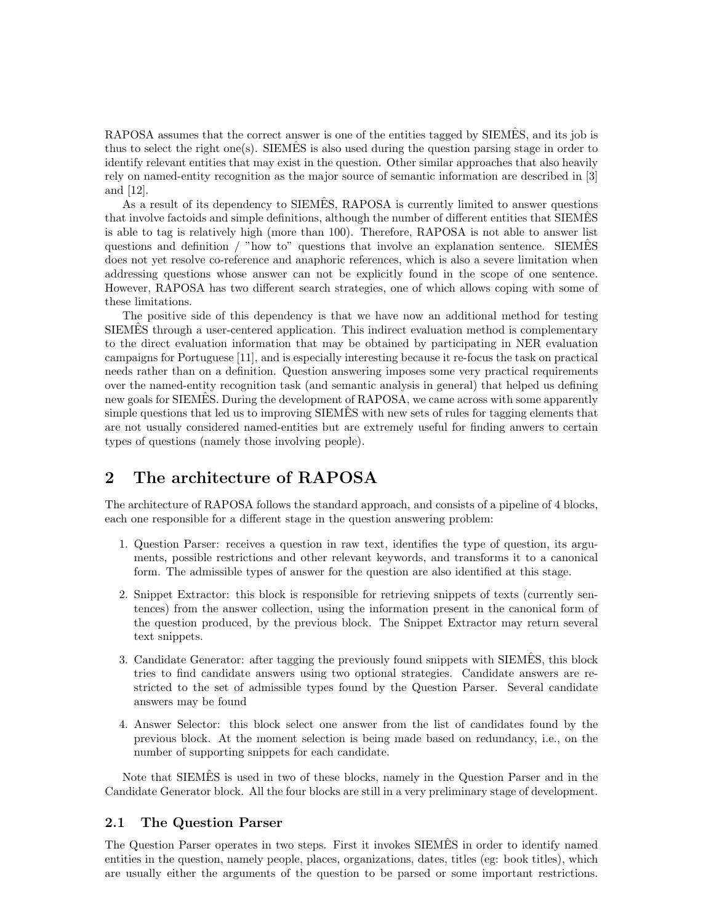RAPOSA assumes that the correct answer is one of the entities tagged by SIEMES, and its job is thus to select the right one(s). SIEMES is also used during the question parsing stage in order to identify relevant entities that may exist in the question. Other similar approaches that also heavily rely on named-entity recognition as the major source of semantic information are described in [3] and [12].

As a result of its dependency to SIEMÊS, RAPOSA is currently limited to answer questions that involve factoids and simple definitions, although the number of different entities that SIEMES is able to tag is relatively high (more than 100). Therefore, RAPOSA is not able to answer list questions and definition  $/$  "how to" questions that involve an explanation sentence. SIEMES does not yet resolve co-reference and anaphoric references, which is also a severe limitation when addressing questions whose answer can not be explicitly found in the scope of one sentence. However, RAPOSA has two different search strategies, one of which allows coping with some of these limitations.

The positive side of this dependency is that we have now an additional method for testing SIEMES through a user-centered application. This indirect evaluation method is complementary to the direct evaluation information that may be obtained by participating in NER evaluation campaigns for Portuguese [11], and is especially interesting because it re-focus the task on practical needs rather than on a definition. Question answering imposes some very practical requirements over the named-entity recognition task (and semantic analysis in general) that helped us defining new goals for SIEMES. During the development of RAPOSA, we came across with some apparently simple questions that led us to improving SIEMES with new sets of rules for tagging elements that are not usually considered named-entities but are extremely useful for finding anwers to certain types of questions (namely those involving people).

### 2 The architecture of RAPOSA

The architecture of RAPOSA follows the standard approach, and consists of a pipeline of 4 blocks, each one responsible for a different stage in the question answering problem:

- 1. Question Parser: receives a question in raw text, identifies the type of question, its arguments, possible restrictions and other relevant keywords, and transforms it to a canonical form. The admissible types of answer for the question are also identified at this stage.
- 2. Snippet Extractor: this block is responsible for retrieving snippets of texts (currently sentences) from the answer collection, using the information present in the canonical form of the question produced, by the previous block. The Snippet Extractor may return several text snippets.
- 3. Candidate Generator: after tagging the previously found snippets with SIEMES, this block ˆ tries to find candidate answers using two optional strategies. Candidate answers are restricted to the set of admissible types found by the Question Parser. Several candidate answers may be found
- 4. Answer Selector: this block select one answer from the list of candidates found by the previous block. At the moment selection is being made based on redundancy, i.e., on the number of supporting snippets for each candidate.

Note that SIEMES is used in two of these blocks, namely in the Question Parser and in the Candidate Generator block. All the four blocks are still in a very preliminary stage of development.

### 2.1 The Question Parser

The Question Parser operates in two steps. First it invokes SIEMES in order to identify named entities in the question, namely people, places, organizations, dates, titles (eg: book titles), which are usually either the arguments of the question to be parsed or some important restrictions.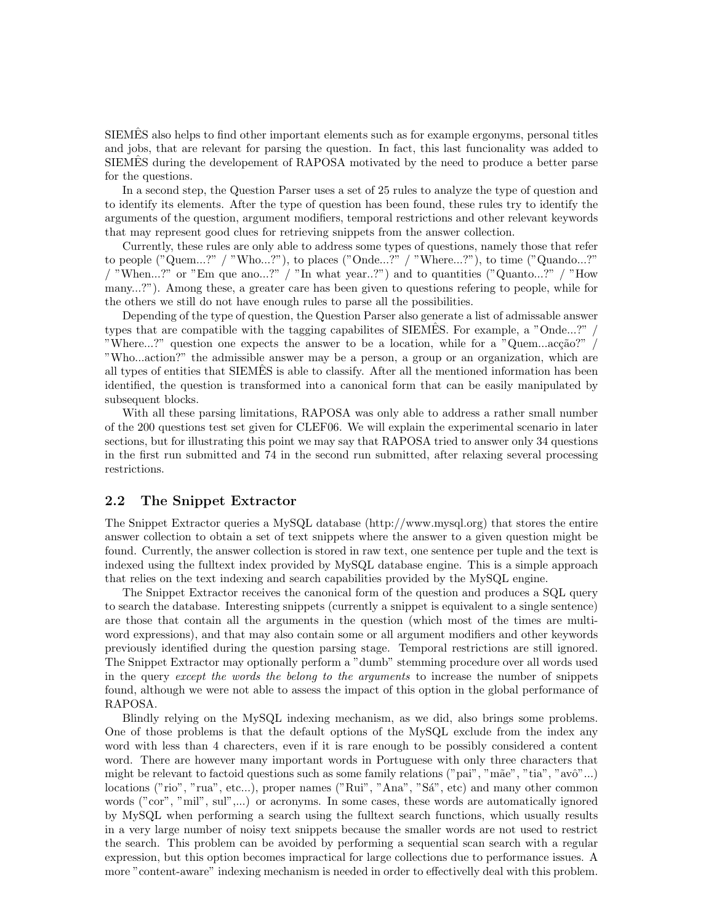SIEMES also helps to find other important elements such as for example ergonyms, personal titles and jobs, that are relevant for parsing the question. In fact, this last funcionality was added to SIEMES during the developement of RAPOSA motivated by the need to produce a better parse for the questions.

In a second step, the Question Parser uses a set of 25 rules to analyze the type of question and to identify its elements. After the type of question has been found, these rules try to identify the arguments of the question, argument modifiers, temporal restrictions and other relevant keywords that may represent good clues for retrieving snippets from the answer collection.

Currently, these rules are only able to address some types of questions, namely those that refer to people ("Quem...?" / "Who...?"), to places ("Onde...?" / "Where...?"), to time ("Quando...?" / "When...?" or "Em que ano...?" / "In what year...?") and to quantities ("Quanto...?" / "How many...?"). Among these, a greater care has been given to questions refering to people, while for the others we still do not have enough rules to parse all the possibilities.

Depending of the type of question, the Question Parser also generate a list of admissable answer types that are compatible with the tagging capabilites of SIEMES. For example, a "Onde...?" / "Where...?" question one expects the answer to be a location, while for a "Quem...acção?" "Who...action?" the admissible answer may be a person, a group or an organization, which are all types of entities that SIEMES is able to classify. After all the mentioned information has been identified, the question is transformed into a canonical form that can be easily manipulated by subsequent blocks.

With all these parsing limitations, RAPOSA was only able to address a rather small number of the 200 questions test set given for CLEF06. We will explain the experimental scenario in later sections, but for illustrating this point we may say that RAPOSA tried to answer only 34 questions in the first run submitted and 74 in the second run submitted, after relaxing several processing restrictions.

#### 2.2 The Snippet Extractor

The Snippet Extractor queries a MySQL database (http://www.mysql.org) that stores the entire answer collection to obtain a set of text snippets where the answer to a given question might be found. Currently, the answer collection is stored in raw text, one sentence per tuple and the text is indexed using the fulltext index provided by MySQL database engine. This is a simple approach that relies on the text indexing and search capabilities provided by the MySQL engine.

The Snippet Extractor receives the canonical form of the question and produces a SQL query to search the database. Interesting snippets (currently a snippet is equivalent to a single sentence) are those that contain all the arguments in the question (which most of the times are multiword expressions), and that may also contain some or all argument modifiers and other keywords previously identified during the question parsing stage. Temporal restrictions are still ignored. The Snippet Extractor may optionally perform a "dumb" stemming procedure over all words used in the query except the words the belong to the arguments to increase the number of snippets found, although we were not able to assess the impact of this option in the global performance of RAPOSA.

Blindly relying on the MySQL indexing mechanism, as we did, also brings some problems. One of those problems is that the default options of the MySQL exclude from the index any word with less than 4 charecters, even if it is rare enough to be possibly considered a content word. There are however many important words in Portuguese with only three characters that might be relevant to factoid questions such as some family relations ("pai", "mãe", "tia", "avô"...) locations ("rio", "rua", etc...), proper names ("Rui", "Ana", "Sá", etc) and many other common words ("cor", "mil", sul",...) or acronyms. In some cases, these words are automatically ignored by MySQL when performing a search using the fulltext search functions, which usually results in a very large number of noisy text snippets because the smaller words are not used to restrict the search. This problem can be avoided by performing a sequential scan search with a regular expression, but this option becomes impractical for large collections due to performance issues. A more "content-aware" indexing mechanism is needed in order to effectivelly deal with this problem.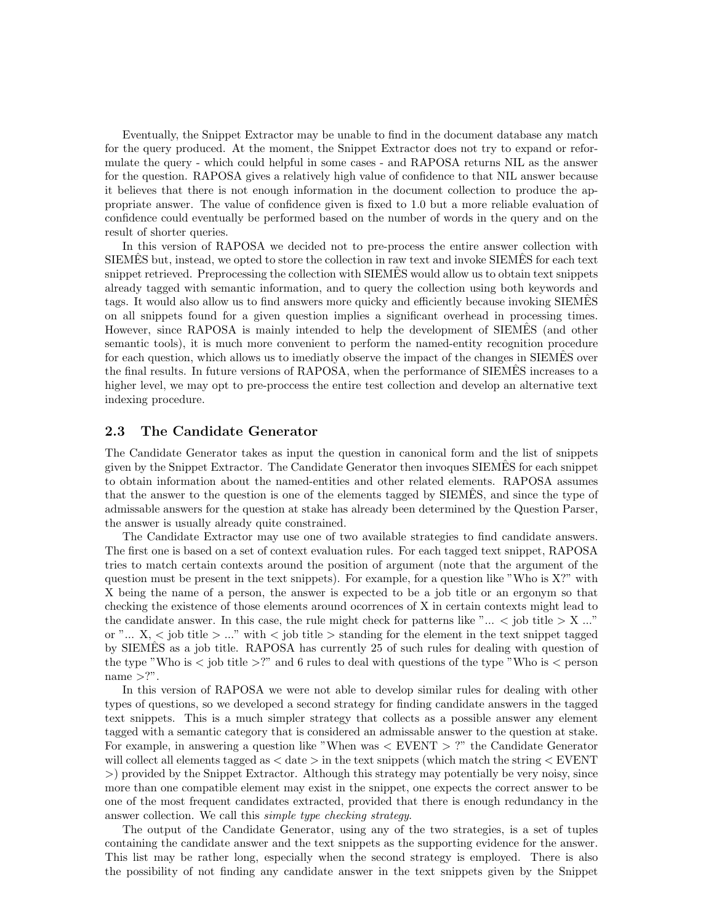Eventually, the Snippet Extractor may be unable to find in the document database any match for the query produced. At the moment, the Snippet Extractor does not try to expand or reformulate the query - which could helpful in some cases - and RAPOSA returns NIL as the answer for the question. RAPOSA gives a relatively high value of confidence to that NIL answer because it believes that there is not enough information in the document collection to produce the appropriate answer. The value of confidence given is fixed to 1.0 but a more reliable evaluation of confidence could eventually be performed based on the number of words in the query and on the result of shorter queries.

In this version of RAPOSA we decided not to pre-process the entire answer collection with SIEMES but, instead, we opted to store the collection in raw text and invoke SIEMES for each text snippet retrieved. Preprocessing the collection with SIEMES would allow us to obtain text snippets already tagged with semantic information, and to query the collection using both keywords and tags. It would also allow us to find answers more quicky and efficiently because invoking SIEMES on all snippets found for a given question implies a significant overhead in processing times. However, since RAPOSA is mainly intended to help the development of SIEMES (and other semantic tools), it is much more convenient to perform the named-entity recognition procedure for each question, which allows us to imediatly observe the impact of the changes in SIEMES over the final results. In future versions of RAPOSA, when the performance of SIEMES increases to a higher level, we may opt to pre-proccess the entire test collection and develop an alternative text indexing procedure.

#### 2.3 The Candidate Generator

The Candidate Generator takes as input the question in canonical form and the list of snippets given by the Snippet Extractor. The Candidate Generator then invoques SIEMES for each snippet to obtain information about the named-entities and other related elements. RAPOSA assumes that the answer to the question is one of the elements tagged by SIEMES, and since the type of admissable answers for the question at stake has already been determined by the Question Parser, the answer is usually already quite constrained.

The Candidate Extractor may use one of two available strategies to find candidate answers. The first one is based on a set of context evaluation rules. For each tagged text snippet, RAPOSA tries to match certain contexts around the position of argument (note that the argument of the question must be present in the text snippets). For example, for a question like "Who is  $X$ ?" with X being the name of a person, the answer is expected to be a job title or an ergonym so that checking the existence of those elements around ocorrences of X in certain contexts might lead to the candidate answer. In this case, the rule might check for patterns like " $\ldots$  < job title  $> X \ldots$ " or " $\ldots$  X,  $\lt$  job title  $\gt \ldots$ " with  $\lt$  job title  $\gt$  standing for the element in the text snippet tagged by SIEMES as a job title. RAPOSA has currently 25 of such rules for dealing with question of the type "Who is  $\lt$  job title  $\gt$ !" and 6 rules to deal with questions of the type "Who is  $\lt$  person name  $>$ ?".

In this version of RAPOSA we were not able to develop similar rules for dealing with other types of questions, so we developed a second strategy for finding candidate answers in the tagged text snippets. This is a much simpler strategy that collects as a possible answer any element tagged with a semantic category that is considered an admissable answer to the question at stake. For example, in answering a question like "When was < EVENT > ?" the Candidate Generator will collect all elements tagged as  $\langle$  date  $\rangle$  in the text snippets (which match the string  $\langle$  EVENT >) provided by the Snippet Extractor. Although this strategy may potentially be very noisy, since more than one compatible element may exist in the snippet, one expects the correct answer to be one of the most frequent candidates extracted, provided that there is enough redundancy in the answer collection. We call this simple type checking strategy.

The output of the Candidate Generator, using any of the two strategies, is a set of tuples containing the candidate answer and the text snippets as the supporting evidence for the answer. This list may be rather long, especially when the second strategy is employed. There is also the possibility of not finding any candidate answer in the text snippets given by the Snippet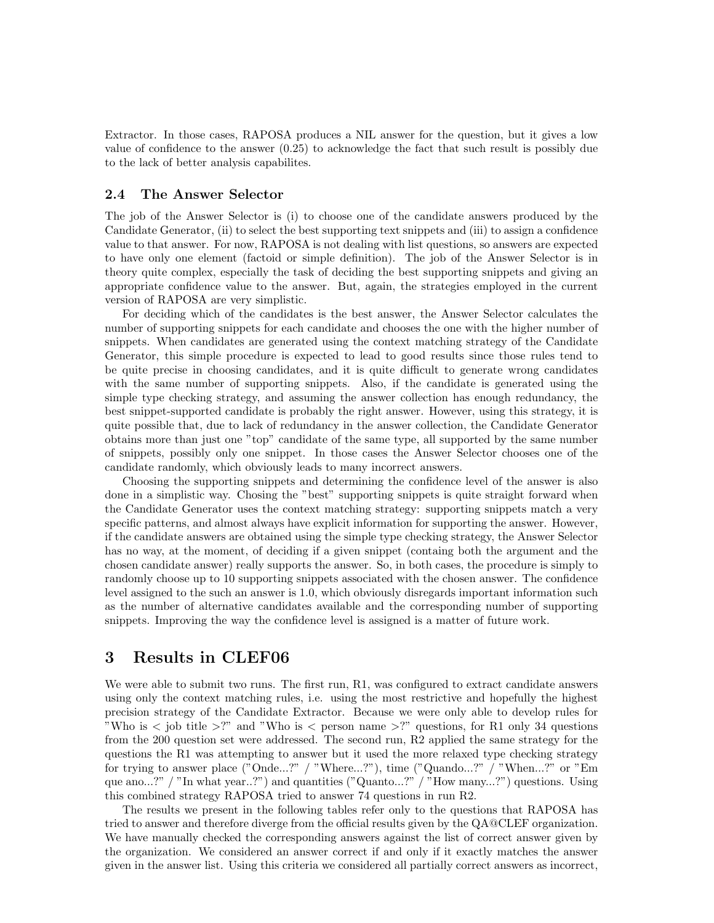Extractor. In those cases, RAPOSA produces a NIL answer for the question, but it gives a low value of confidence to the answer (0.25) to acknowledge the fact that such result is possibly due to the lack of better analysis capabilites.

#### 2.4 The Answer Selector

The job of the Answer Selector is (i) to choose one of the candidate answers produced by the Candidate Generator, (ii) to select the best supporting text snippets and (iii) to assign a confidence value to that answer. For now, RAPOSA is not dealing with list questions, so answers are expected to have only one element (factoid or simple definition). The job of the Answer Selector is in theory quite complex, especially the task of deciding the best supporting snippets and giving an appropriate confidence value to the answer. But, again, the strategies employed in the current version of RAPOSA are very simplistic.

For deciding which of the candidates is the best answer, the Answer Selector calculates the number of supporting snippets for each candidate and chooses the one with the higher number of snippets. When candidates are generated using the context matching strategy of the Candidate Generator, this simple procedure is expected to lead to good results since those rules tend to be quite precise in choosing candidates, and it is quite difficult to generate wrong candidates with the same number of supporting snippets. Also, if the candidate is generated using the simple type checking strategy, and assuming the answer collection has enough redundancy, the best snippet-supported candidate is probably the right answer. However, using this strategy, it is quite possible that, due to lack of redundancy in the answer collection, the Candidate Generator obtains more than just one "top" candidate of the same type, all supported by the same number of snippets, possibly only one snippet. In those cases the Answer Selector chooses one of the candidate randomly, which obviously leads to many incorrect answers.

Choosing the supporting snippets and determining the confidence level of the answer is also done in a simplistic way. Chosing the "best" supporting snippets is quite straight forward when the Candidate Generator uses the context matching strategy: supporting snippets match a very specific patterns, and almost always have explicit information for supporting the answer. However, if the candidate answers are obtained using the simple type checking strategy, the Answer Selector has no way, at the moment, of deciding if a given snippet (containg both the argument and the chosen candidate answer) really supports the answer. So, in both cases, the procedure is simply to randomly choose up to 10 supporting snippets associated with the chosen answer. The confidence level assigned to the such an answer is 1.0, which obviously disregards important information such as the number of alternative candidates available and the corresponding number of supporting snippets. Improving the way the confidence level is assigned is a matter of future work.

### 3 Results in CLEF06

We were able to submit two runs. The first run, R1, was configured to extract candidate answers using only the context matching rules, i.e. using the most restrictive and hopefully the highest precision strategy of the Candidate Extractor. Because we were only able to develop rules for "Who is < job title >?" and "Who is < person name >?" questions, for R1 only 34 questions from the 200 question set were addressed. The second run, R2 applied the same strategy for the questions the R1 was attempting to answer but it used the more relaxed type checking strategy for trying to answer place ("Onde...?" / "Where...?"), time ("Quando...?" / "When...?" or "Em que ano...?" / "In what year..?") and quantities ("Quanto...?" / "How many...?") questions. Using this combined strategy RAPOSA tried to answer 74 questions in run R2.

The results we present in the following tables refer only to the questions that RAPOSA has tried to answer and therefore diverge from the official results given by the QA@CLEF organization. We have manually checked the corresponding answers against the list of correct answer given by the organization. We considered an answer correct if and only if it exactly matches the answer given in the answer list. Using this criteria we considered all partially correct answers as incorrect,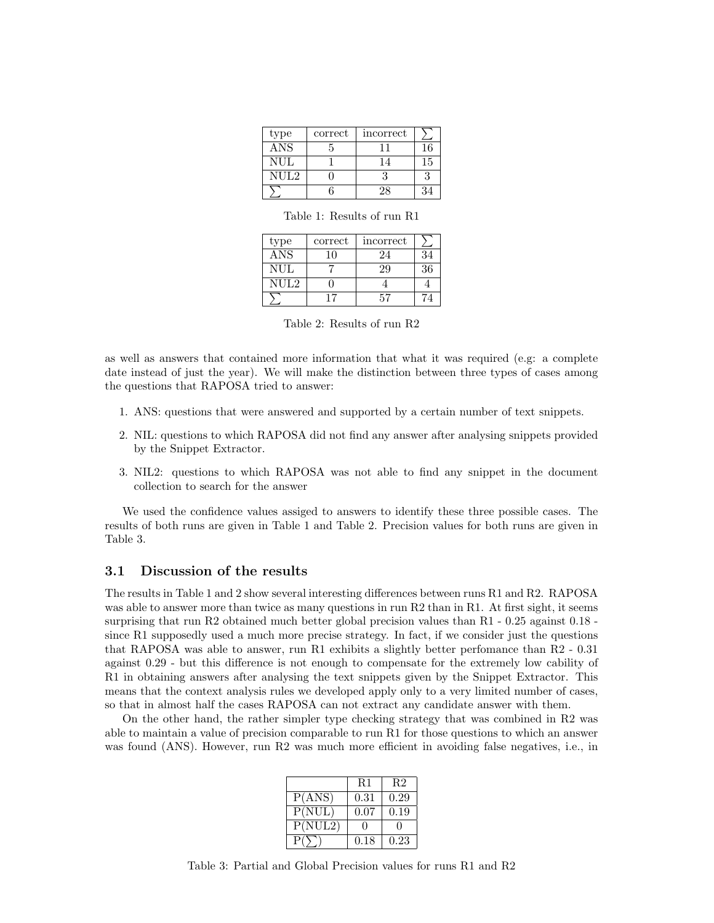| type       | correct | incorrect |     |
|------------|---------|-----------|-----|
| ANS        |         |           |     |
| <b>NUL</b> |         |           | ۲.I |
| NUL2       |         |           |     |
|            |         |           |     |

Table 1: Results of run R1

| type       | correct | incorrect |    |
|------------|---------|-----------|----|
| <b>ANS</b> | 10      | 24        | 34 |
| NUL.       |         | 29        | 36 |
| NUL2       |         |           |    |
|            |         | 57        |    |

Table 2: Results of run R2

as well as answers that contained more information that what it was required (e.g: a complete date instead of just the year). We will make the distinction between three types of cases among the questions that RAPOSA tried to answer:

- 1. ANS: questions that were answered and supported by a certain number of text snippets.
- 2. NIL: questions to which RAPOSA did not find any answer after analysing snippets provided by the Snippet Extractor.
- 3. NIL2: questions to which RAPOSA was not able to find any snippet in the document collection to search for the answer

We used the confidence values assiged to answers to identify these three possible cases. The results of both runs are given in Table 1 and Table 2. Precision values for both runs are given in Table 3.

#### 3.1 Discussion of the results

The results in Table 1 and 2 show several interesting differences between runs R1 and R2. RAPOSA was able to answer more than twice as many questions in run R2 than in R1. At first sight, it seems surprising that run R2 obtained much better global precision values than R1 - 0.25 against 0.18 since R1 supposedly used a much more precise strategy. In fact, if we consider just the questions that RAPOSA was able to answer, run R1 exhibits a slightly better perfomance than  $R2 - 0.31$ against 0.29 - but this difference is not enough to compensate for the extremely low cability of R1 in obtaining answers after analysing the text snippets given by the Snippet Extractor. This means that the context analysis rules we developed apply only to a very limited number of cases, so that in almost half the cases RAPOSA can not extract any candidate answer with them.

On the other hand, the rather simpler type checking strategy that was combined in R2 was able to maintain a value of precision comparable to run R1 for those questions to which an answer was found (ANS). However, run R2 was much more efficient in avoiding false negatives, i.e., in

|         | R1   | R2   |
|---------|------|------|
| P(ANS)  | 0.31 | 0.29 |
| P(NULL) | 0.07 | 0.19 |
| P(NUL2) |      |      |
|         | 0.18 | 0.23 |

Table 3: Partial and Global Precision values for runs R1 and R2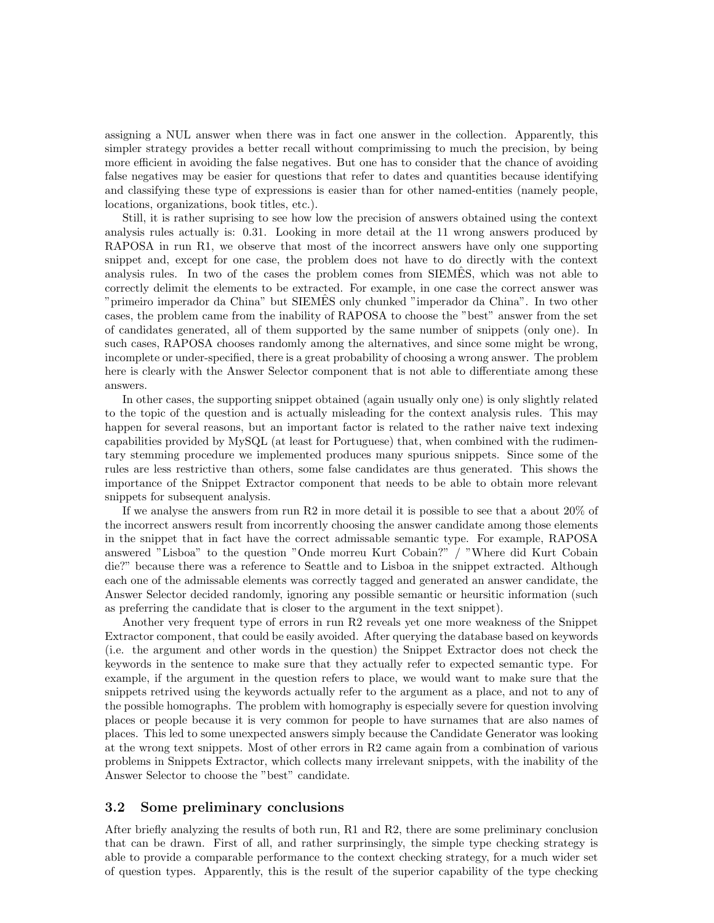assigning a NUL answer when there was in fact one answer in the collection. Apparently, this simpler strategy provides a better recall without comprimissing to much the precision, by being more efficient in avoiding the false negatives. But one has to consider that the chance of avoiding false negatives may be easier for questions that refer to dates and quantities because identifying and classifying these type of expressions is easier than for other named-entities (namely people, locations, organizations, book titles, etc.).

Still, it is rather suprising to see how low the precision of answers obtained using the context analysis rules actually is: 0.31. Looking in more detail at the 11 wrong answers produced by RAPOSA in run R1, we observe that most of the incorrect answers have only one supporting snippet and, except for one case, the problem does not have to do directly with the context analysis rules. In two of the cases the problem comes from SIEMES, which was not able to correctly delimit the elements to be extracted. For example, in one case the correct answer was "primeiro imperador da China" but SIEMES only chunked "imperador da China". In two other ˆ cases, the problem came from the inability of RAPOSA to choose the "best" answer from the set of candidates generated, all of them supported by the same number of snippets (only one). In such cases, RAPOSA chooses randomly among the alternatives, and since some might be wrong, incomplete or under-specified, there is a great probability of choosing a wrong answer. The problem here is clearly with the Answer Selector component that is not able to differentiate among these answers.

In other cases, the supporting snippet obtained (again usually only one) is only slightly related to the topic of the question and is actually misleading for the context analysis rules. This may happen for several reasons, but an important factor is related to the rather naive text indexing capabilities provided by MySQL (at least for Portuguese) that, when combined with the rudimentary stemming procedure we implemented produces many spurious snippets. Since some of the rules are less restrictive than others, some false candidates are thus generated. This shows the importance of the Snippet Extractor component that needs to be able to obtain more relevant snippets for subsequent analysis.

If we analyse the answers from run R2 in more detail it is possible to see that a about 20% of the incorrect answers result from incorrently choosing the answer candidate among those elements in the snippet that in fact have the correct admissable semantic type. For example, RAPOSA answered "Lisboa" to the question "Onde morreu Kurt Cobain?" / "Where did Kurt Cobain die?" because there was a reference to Seattle and to Lisboa in the snippet extracted. Although each one of the admissable elements was correctly tagged and generated an answer candidate, the Answer Selector decided randomly, ignoring any possible semantic or heursitic information (such as preferring the candidate that is closer to the argument in the text snippet).

Another very frequent type of errors in run R2 reveals yet one more weakness of the Snippet Extractor component, that could be easily avoided. After querying the database based on keywords (i.e. the argument and other words in the question) the Snippet Extractor does not check the keywords in the sentence to make sure that they actually refer to expected semantic type. For example, if the argument in the question refers to place, we would want to make sure that the snippets retrived using the keywords actually refer to the argument as a place, and not to any of the possible homographs. The problem with homography is especially severe for question involving places or people because it is very common for people to have surnames that are also names of places. This led to some unexpected answers simply because the Candidate Generator was looking at the wrong text snippets. Most of other errors in R2 came again from a combination of various problems in Snippets Extractor, which collects many irrelevant snippets, with the inability of the Answer Selector to choose the "best" candidate.

#### 3.2 Some preliminary conclusions

After briefly analyzing the results of both run, R1 and R2, there are some preliminary conclusion that can be drawn. First of all, and rather surprinsingly, the simple type checking strategy is able to provide a comparable performance to the context checking strategy, for a much wider set of question types. Apparently, this is the result of the superior capability of the type checking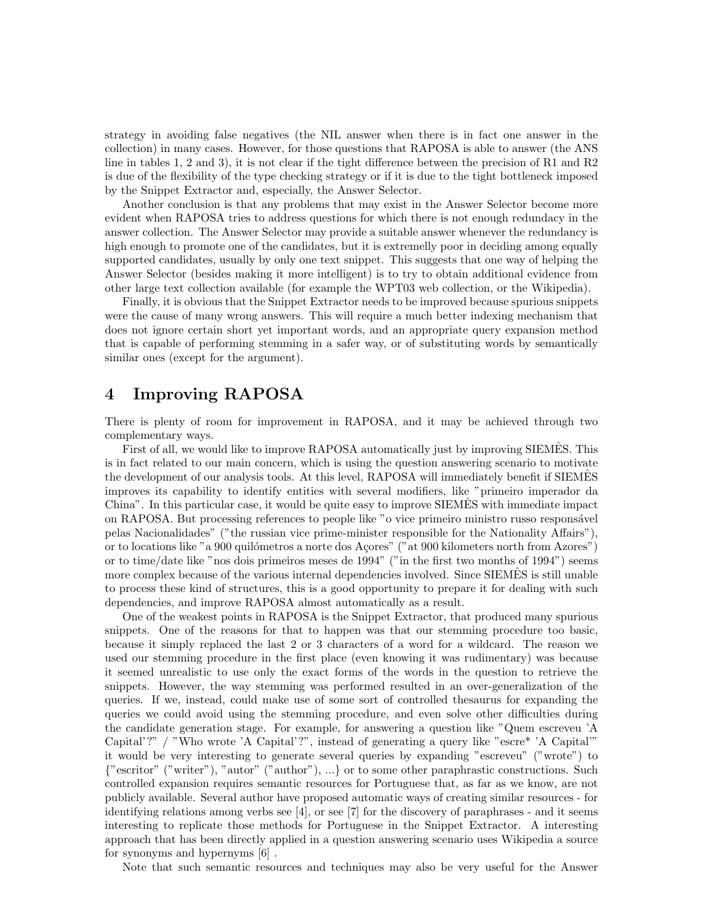strategy in avoiding false negatives (the NIL answer when there is in fact one answer in the collection) in many cases. However, for those questions that RAPOSA is able to answer (the ANS line in tables 1, 2 and 3), it is not clear if the tight difference between the precision of R1 and R2 is due of the flexibility of the type checking strategy or if it is due to the tight bottleneck imposed by the Snippet Extractor and, especially, the Answer Selector.

Another conclusion is that any problems that may exist in the Answer Selector become more evident when RAPOSA tries to address questions for which there is not enough redundacy in the answer collection. The Answer Selector may provide a suitable answer whenever the redundancy is high enough to promote one of the candidates, but it is extremelly poor in deciding among equally supported candidates, usually by only one text snippet. This suggests that one way of helping the Answer Selector (besides making it more intelligent) is to try to obtain additional evidence from other large text collection available (for example the WPT03 web collection, or the Wikipedia).

Finally, it is obvious that the Snippet Extractor needs to be improved because spurious snippets were the cause of many wrong answers. This will require a much better indexing mechanism that does not ignore certain short yet important words, and an appropriate query expansion method that is capable of performing stemming in a safer way, or of substituting words by semantically similar ones (except for the argument).

### 4 Improving RAPOSA

There is plenty of room for improvement in RAPOSA, and it may be achieved through two complementary ways.

First of all, we would like to improve RAPOSA automatically just by improving SIEMES. This is in fact related to our main concern, which is using the question answering scenario to motivate the development of our analysis tools. At this level, RAPOSA will immediately benefit if SIEMES improves its capability to identify entities with several modifiers, like "primeiro imperador da China". In this particular case, it would be quite easy to improve SIEMES with immediate impact ˆ on RAPOSA. But processing references to people like "o vice primeiro ministro russo respons´avel pelas Nacionalidades" ("the russian vice prime-minister responsible for the Nationality Affairs"), or to locations like "a 900 quilómetros a norte dos Açores" ("at 900 kilometers north from Azores") or to time/date like "nos dois primeiros meses de 1994" ("in the first two months of 1994") seems more complex because of the various internal dependencies involved. Since SIEMES is still unable to process these kind of structures, this is a good opportunity to prepare it for dealing with such dependencies, and improve RAPOSA almost automatically as a result.

One of the weakest points in RAPOSA is the Snippet Extractor, that produced many spurious snippets. One of the reasons for that to happen was that our stemming procedure too basic, because it simply replaced the last 2 or 3 characters of a word for a wildcard. The reason we used our stemming procedure in the first place (even knowing it was rudimentary) was because it seemed unrealistic to use only the exact forms of the words in the question to retrieve the snippets. However, the way stemming was performed resulted in an over-generalization of the queries. If we, instead, could make use of some sort of controlled thesaurus for expanding the queries we could avoid using the stemming procedure, and even solve other difficulties during the candidate generation stage. For example, for answering a question like "Quem escreveu 'A Capital'?" / "Who wrote 'A Capital'?", instead of generating a query like "escre\* 'A Capital'" it would be very interesting to generate several queries by expanding "escreveu" ("wrote") to {"escritor" ("writer"), "autor" ("author"), ...} or to some other paraphrastic constructions. Such controlled expansion requires semantic resources for Portuguese that, as far as we know, are not publicly available. Several author have proposed automatic ways of creating similar resources - for identifying relations among verbs see [4], or see [7] for the discovery of paraphrases - and it seems interesting to replicate those methods for Portuguese in the Snippet Extractor. A interesting approach that has been directly applied in a question answering scenario uses Wikipedia a source for synonyms and hypernyms [6] .

Note that such semantic resources and techniques may also be very useful for the Answer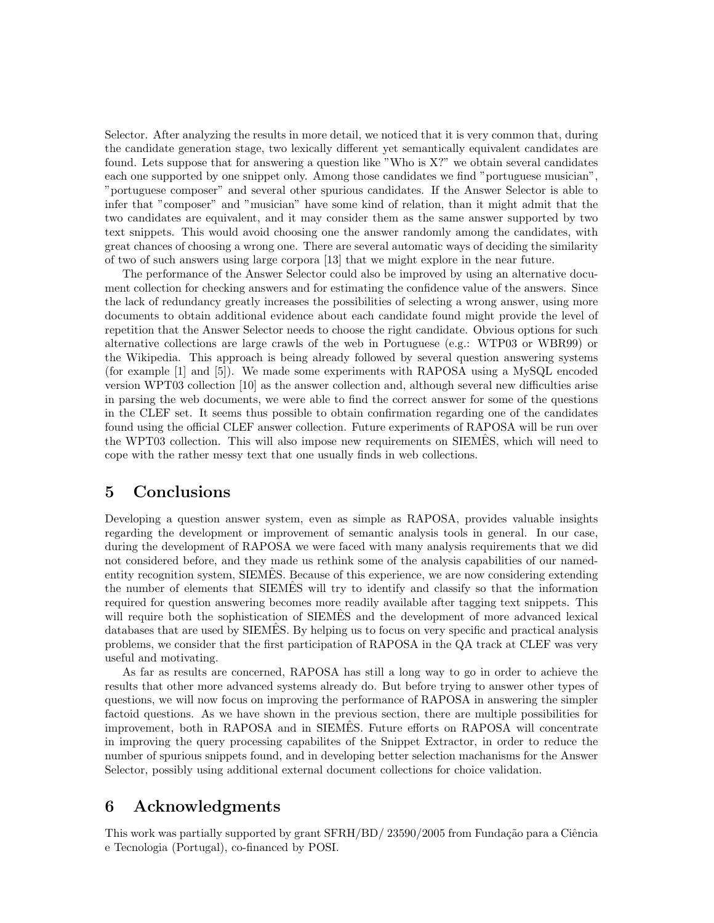Selector. After analyzing the results in more detail, we noticed that it is very common that, during the candidate generation stage, two lexically different yet semantically equivalent candidates are found. Lets suppose that for answering a question like "Who is X?" we obtain several candidates each one supported by one snippet only. Among those candidates we find "portuguese musician", "portuguese composer" and several other spurious candidates. If the Answer Selector is able to infer that "composer" and "musician" have some kind of relation, than it might admit that the two candidates are equivalent, and it may consider them as the same answer supported by two text snippets. This would avoid choosing one the answer randomly among the candidates, with great chances of choosing a wrong one. There are several automatic ways of deciding the similarity of two of such answers using large corpora [13] that we might explore in the near future.

The performance of the Answer Selector could also be improved by using an alternative document collection for checking answers and for estimating the confidence value of the answers. Since the lack of redundancy greatly increases the possibilities of selecting a wrong answer, using more documents to obtain additional evidence about each candidate found might provide the level of repetition that the Answer Selector needs to choose the right candidate. Obvious options for such alternative collections are large crawls of the web in Portuguese (e.g.: WTP03 or WBR99) or the Wikipedia. This approach is being already followed by several question answering systems (for example [1] and [5]). We made some experiments with RAPOSA using a MySQL encoded version WPT03 collection [10] as the answer collection and, although several new difficulties arise in parsing the web documents, we were able to find the correct answer for some of the questions in the CLEF set. It seems thus possible to obtain confirmation regarding one of the candidates found using the official CLEF answer collection. Future experiments of RAPOSA will be run over the WPT03 collection. This will also impose new requirements on SIEMES, which will need to cope with the rather messy text that one usually finds in web collections.

### 5 Conclusions

Developing a question answer system, even as simple as RAPOSA, provides valuable insights regarding the development or improvement of semantic analysis tools in general. In our case, during the development of RAPOSA we were faced with many analysis requirements that we did not considered before, and they made us rethink some of the analysis capabilities of our namedentity recognition system, SIEMES. Because of this experience, we are now considering extending the number of elements that SIEMES will try to identify and classify so that the information required for question answering becomes more readily available after tagging text snippets. This will require both the sophistication of SIEMES and the development of more advanced lexical databases that are used by SIEMES. By helping us to focus on very specific and practical analysis problems, we consider that the first participation of RAPOSA in the QA track at CLEF was very useful and motivating.

As far as results are concerned, RAPOSA has still a long way to go in order to achieve the results that other more advanced systems already do. But before trying to answer other types of questions, we will now focus on improving the performance of RAPOSA in answering the simpler factoid questions. As we have shown in the previous section, there are multiple possibilities for improvement, both in RAPOSA and in SIEMES. Future efforts on RAPOSA will concentrate in improving the query processing capabilites of the Snippet Extractor, in order to reduce the number of spurious snippets found, and in developing better selection machanisms for the Answer Selector, possibly using additional external document collections for choice validation.

## 6 Acknowledgments

This work was partially supported by grant  $SFRH/BD/ 23590/2005$  from Fundação para a Ciência e Tecnologia (Portugal), co-financed by POSI.